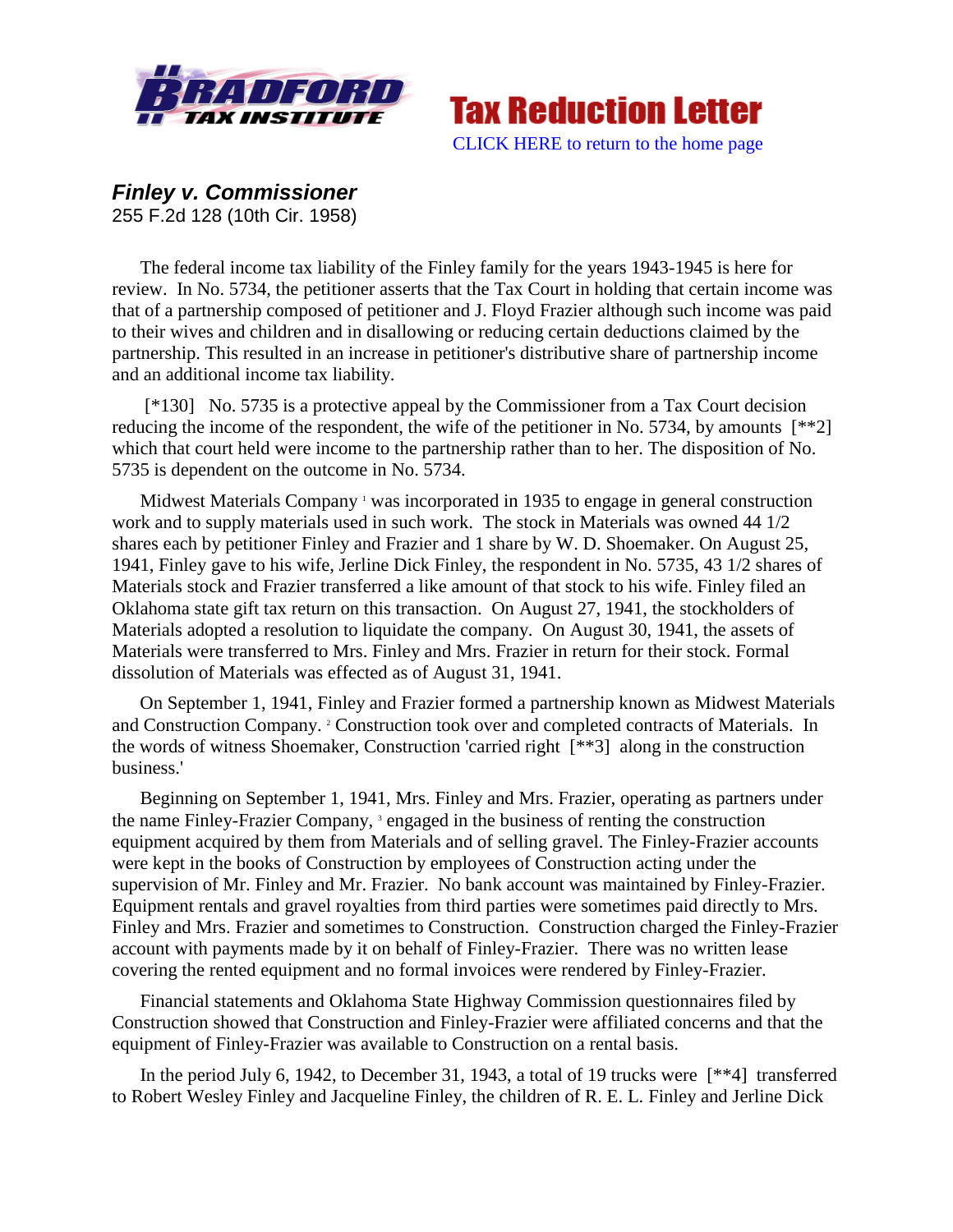



## *Finley v. Commissioner*

255 F.2d 128 (10th Cir. 1958)

The federal income tax liability of the Finley family for the years 1943-1945 is here for review. In No. 5734, the petitioner asserts that the Tax Court in holding that certain income was that of a partnership composed of petitioner and J. Floyd Frazier although such income was paid to their wives and children and in disallowing or reducing certain deductions claimed by the partnership. This resulted in an increase in petitioner's distributive share of partnership income and an additional income tax liability.

[\*130] No. 5735 is a protective appeal by the Commissioner from a Tax Court decision reducing the income of the respondent, the wife of the petitioner in No. 5734, by amounts [\*\*2] which that court held were income to the partnership rather than to her. The disposition of No. 5735 is dependent on the outcome in No. 5734.

Midwest Materials Company <sup>1</sup> was incorporated in 1935 to engage in general construction work and to supply materials used in such work. The stock in Materials was owned 44 1/2 shares each by petitioner Finley and Frazier and 1 share by W. D. Shoemaker. On August 25, 1941, Finley gave to his wife, Jerline Dick Finley, the respondent in No. 5735, 43 1/2 shares of Materials stock and Frazier transferred a like amount of that stock to his wife. Finley filed an Oklahoma state gift tax return on this transaction. On August 27, 1941, the stockholders of Materials adopted a resolution to liquidate the company. On August 30, 1941, the assets of Materials were transferred to Mrs. Finley and Mrs. Frazier in return for their stock. Formal dissolution of Materials was effected as of August 31, 1941.

On September 1, 1941, Finley and Frazier formed a partnership known as Midwest Materials and Construction Company. <sup>2</sup> Construction took over and completed contracts of Materials. In the words of witness Shoemaker, Construction 'carried right [\*\*3] along in the construction business.'

Beginning on September 1, 1941, Mrs. Finley and Mrs. Frazier, operating as partners under the name Finley-Frazier Company, <sup>3</sup> engaged in the business of renting the construction equipment acquired by them from Materials and of selling gravel. The Finley-Frazier accounts were kept in the books of Construction by employees of Construction acting under the supervision of Mr. Finley and Mr. Frazier. No bank account was maintained by Finley-Frazier. Equipment rentals and gravel royalties from third parties were sometimes paid directly to Mrs. Finley and Mrs. Frazier and sometimes to Construction. Construction charged the Finley-Frazier account with payments made by it on behalf of Finley-Frazier. There was no written lease covering the rented equipment and no formal invoices were rendered by Finley-Frazier.

Financial statements and Oklahoma State Highway Commission questionnaires filed by Construction showed that Construction and Finley-Frazier were affiliated concerns and that the equipment of Finley-Frazier was available to Construction on a rental basis.

In the period July 6, 1942, to December 31, 1943, a total of 19 trucks were  $[**4]$  transferred to Robert Wesley Finley and Jacqueline Finley, the children of R. E. L. Finley and Jerline Dick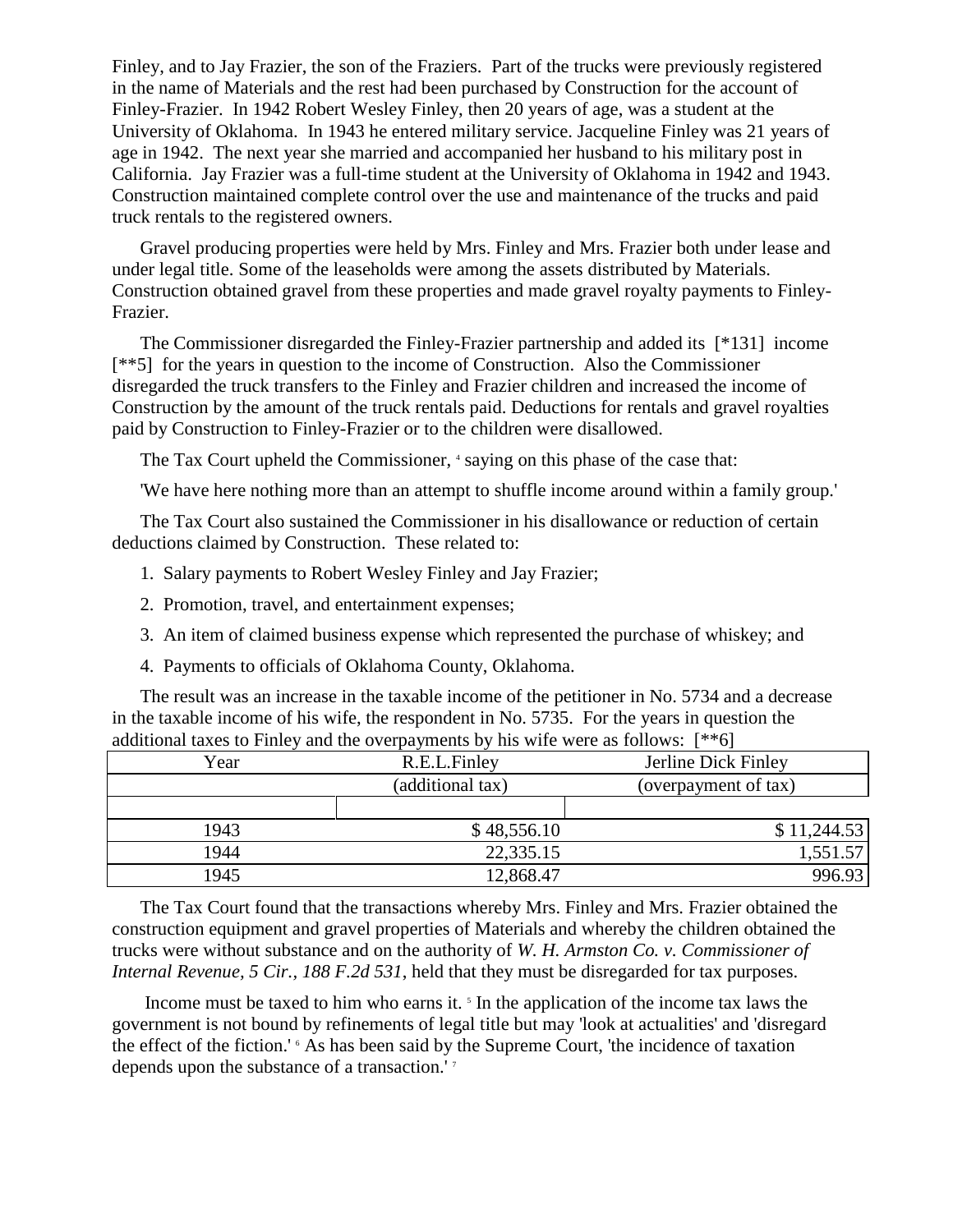Finley, and to Jay Frazier, the son of the Fraziers. Part of the trucks were previously registered in the name of Materials and the rest had been purchased by Construction for the account of Finley-Frazier. In 1942 Robert Wesley Finley, then 20 years of age, was a student at the University of Oklahoma. In 1943 he entered military service. Jacqueline Finley was 21 years of age in 1942. The next year she married and accompanied her husband to his military post in California. Jay Frazier was a full-time student at the University of Oklahoma in 1942 and 1943. Construction maintained complete control over the use and maintenance of the trucks and paid truck rentals to the registered owners.

Gravel producing properties were held by Mrs. Finley and Mrs. Frazier both under lease and under legal title. Some of the leaseholds were among the assets distributed by Materials. Construction obtained gravel from these properties and made gravel royalty payments to Finley-Frazier.

The Commissioner disregarded the Finley-Frazier partnership and added its [\*131] income [\*\*5] for the years in question to the income of Construction. Also the Commissioner disregarded the truck transfers to the Finley and Frazier children and increased the income of Construction by the amount of the truck rentals paid. Deductions for rentals and gravel royalties paid by Construction to Finley-Frazier or to the children were disallowed.

The Tax Court upheld the Commissioner,  $4$  saying on this phase of the case that:

'We have here nothing more than an attempt to shuffle income around within a family group.'

The Tax Court also sustained the Commissioner in his disallowance or reduction of certain deductions claimed by Construction. These related to:

- 1. Salary payments to Robert Wesley Finley and Jay Frazier;
- 2. Promotion, travel, and entertainment expenses;
- 3. An item of claimed business expense which represented the purchase of whiskey; and
- 4. Payments to officials of Oklahoma County, Oklahoma.

The result was an increase in the taxable income of the petitioner in No. 5734 and a decrease in the taxable income of his wife, the respondent in No. 5735. For the years in question the additional taxes to Finley and the overpayments by his wife were as follows: [\*\*6]

| Year | R.E.L.Finley     | Jerline Dick Finley  |
|------|------------------|----------------------|
|      | (additional tax) | (overpayment of tax) |
|      |                  |                      |
| 1943 | \$48,556.10      | \$11,244.53          |
| 1944 | 22,335.15        | 1,551.57             |
| 1945 | 12,868.47        | 996.93               |

The Tax Court found that the transactions whereby Mrs. Finley and Mrs. Frazier obtained the construction equipment and gravel properties of Materials and whereby the children obtained the trucks were without substance and on the authority of *W. H. Armston Co. v. Commissioner of Internal Revenue, 5 Cir., 188 F.2d 531*, held that they must be disregarded for tax purposes.

Income must be taxed to him who earns it. <sup>5</sup> In the application of the income tax laws the government is not bound by refinements of legal title but may 'look at actualities' and 'disregard the effect of the fiction.' <sup>6</sup> As has been said by the Supreme Court, 'the incidence of taxation depends upon the substance of a transaction.' 7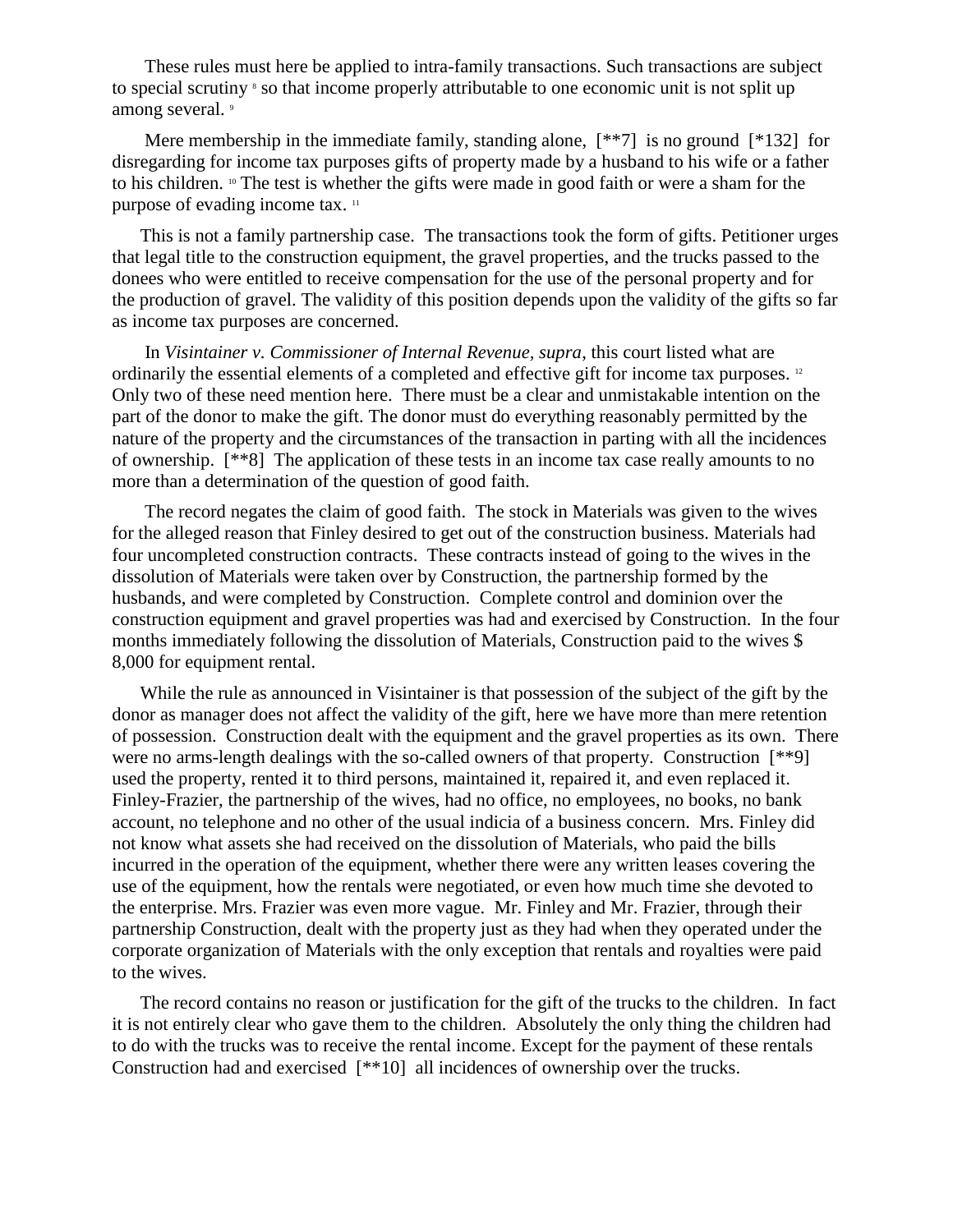These rules must here be applied to intra-family transactions. Such transactions are subject to special scrutiny  $\delta$  so that income properly attributable to one economic unit is not split up among several.<sup>9</sup>

Mere membership in the immediate family, standing alone,  $[**7]$  is no ground  $[*132]$  for disregarding for income tax purposes gifts of property made by a husband to his wife or a father to his children. <sup>10</sup> The test is whether the gifts were made in good faith or were a sham for the purpose of evading income tax. <sup>11</sup>

This is not a family partnership case. The transactions took the form of gifts. Petitioner urges that legal title to the construction equipment, the gravel properties, and the trucks passed to the donees who were entitled to receive compensation for the use of the personal property and for the production of gravel. The validity of this position depends upon the validity of the gifts so far as income tax purposes are concerned.

In *Visintainer v. Commissioner of Internal Revenue, supra*, this court listed what are ordinarily the essential elements of a completed and effective gift for income tax purposes. <sup>12</sup> Only two of these need mention here. There must be a clear and unmistakable intention on the part of the donor to make the gift. The donor must do everything reasonably permitted by the nature of the property and the circumstances of the transaction in parting with all the incidences of ownership. [\*\*8] The application of these tests in an income tax case really amounts to no more than a determination of the question of good faith.

The record negates the claim of good faith. The stock in Materials was given to the wives for the alleged reason that Finley desired to get out of the construction business. Materials had four uncompleted construction contracts. These contracts instead of going to the wives in the dissolution of Materials were taken over by Construction, the partnership formed by the husbands, and were completed by Construction. Complete control and dominion over the construction equipment and gravel properties was had and exercised by Construction. In the four months immediately following the dissolution of Materials, Construction paid to the wives \$ 8,000 for equipment rental.

While the rule as announced in Visintainer is that possession of the subject of the gift by the donor as manager does not affect the validity of the gift, here we have more than mere retention of possession. Construction dealt with the equipment and the gravel properties as its own. There were no arms-length dealings with the so-called owners of that property. Construction [\*\*9] used the property, rented it to third persons, maintained it, repaired it, and even replaced it. Finley-Frazier, the partnership of the wives, had no office, no employees, no books, no bank account, no telephone and no other of the usual indicia of a business concern. Mrs. Finley did not know what assets she had received on the dissolution of Materials, who paid the bills incurred in the operation of the equipment, whether there were any written leases covering the use of the equipment, how the rentals were negotiated, or even how much time she devoted to the enterprise. Mrs. Frazier was even more vague. Mr. Finley and Mr. Frazier, through their partnership Construction, dealt with the property just as they had when they operated under the corporate organization of Materials with the only exception that rentals and royalties were paid to the wives.

The record contains no reason or justification for the gift of the trucks to the children. In fact it is not entirely clear who gave them to the children. Absolutely the only thing the children had to do with the trucks was to receive the rental income. Except for the payment of these rentals Construction had and exercised [\*\*10] all incidences of ownership over the trucks.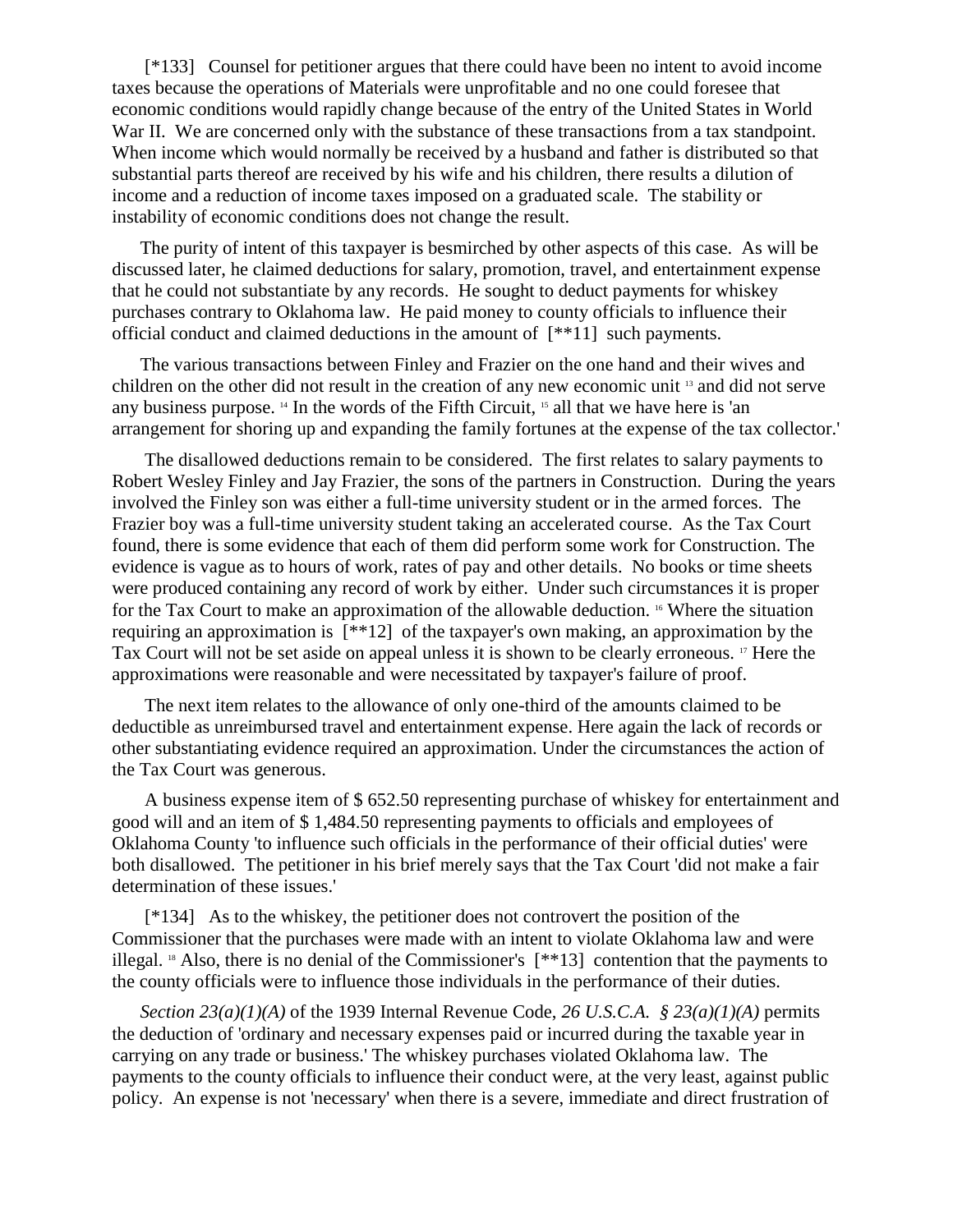[\*133] Counsel for petitioner argues that there could have been no intent to avoid income taxes because the operations of Materials were unprofitable and no one could foresee that economic conditions would rapidly change because of the entry of the United States in World War II. We are concerned only with the substance of these transactions from a tax standpoint. When income which would normally be received by a husband and father is distributed so that substantial parts thereof are received by his wife and his children, there results a dilution of income and a reduction of income taxes imposed on a graduated scale. The stability or instability of economic conditions does not change the result.

The purity of intent of this taxpayer is besmirched by other aspects of this case. As will be discussed later, he claimed deductions for salary, promotion, travel, and entertainment expense that he could not substantiate by any records. He sought to deduct payments for whiskey purchases contrary to Oklahoma law. He paid money to county officials to influence their official conduct and claimed deductions in the amount of [\*\*11] such payments.

The various transactions between Finley and Frazier on the one hand and their wives and children on the other did not result in the creation of any new economic unit <sup>13</sup> and did not serve any business purpose. <sup>14</sup> In the words of the Fifth Circuit, <sup>15</sup> all that we have here is 'an arrangement for shoring up and expanding the family fortunes at the expense of the tax collector.'

The disallowed deductions remain to be considered. The first relates to salary payments to Robert Wesley Finley and Jay Frazier, the sons of the partners in Construction. During the years involved the Finley son was either a full-time university student or in the armed forces. The Frazier boy was a full-time university student taking an accelerated course. As the Tax Court found, there is some evidence that each of them did perform some work for Construction. The evidence is vague as to hours of work, rates of pay and other details. No books or time sheets were produced containing any record of work by either. Under such circumstances it is proper for the Tax Court to make an approximation of the allowable deduction. <sup>16</sup> Where the situation requiring an approximation is [\*\*12] of the taxpayer's own making, an approximation by the Tax Court will not be set aside on appeal unless it is shown to be clearly erroneous. <sup>17</sup> Here the approximations were reasonable and were necessitated by taxpayer's failure of proof.

The next item relates to the allowance of only one-third of the amounts claimed to be deductible as unreimbursed travel and entertainment expense. Here again the lack of records or other substantiating evidence required an approximation. Under the circumstances the action of the Tax Court was generous.

A business expense item of \$ 652.50 representing purchase of whiskey for entertainment and good will and an item of \$ 1,484.50 representing payments to officials and employees of Oklahoma County 'to influence such officials in the performance of their official duties' were both disallowed. The petitioner in his brief merely says that the Tax Court 'did not make a fair determination of these issues.'

[\*134] As to the whiskey, the petitioner does not controvert the position of the Commissioner that the purchases were made with an intent to violate Oklahoma law and were illegal. <sup>18</sup> Also, there is no denial of the Commissioner's [\*\*13] contention that the payments to the county officials were to influence those individuals in the performance of their duties.

*Section 23(a)(1)(A)* of the 1939 Internal Revenue Code, *26 U.S.C.A. § 23(a)(1)(A)* permits the deduction of 'ordinary and necessary expenses paid or incurred during the taxable year in carrying on any trade or business.' The whiskey purchases violated Oklahoma law. The payments to the county officials to influence their conduct were, at the very least, against public policy. An expense is not 'necessary' when there is a severe, immediate and direct frustration of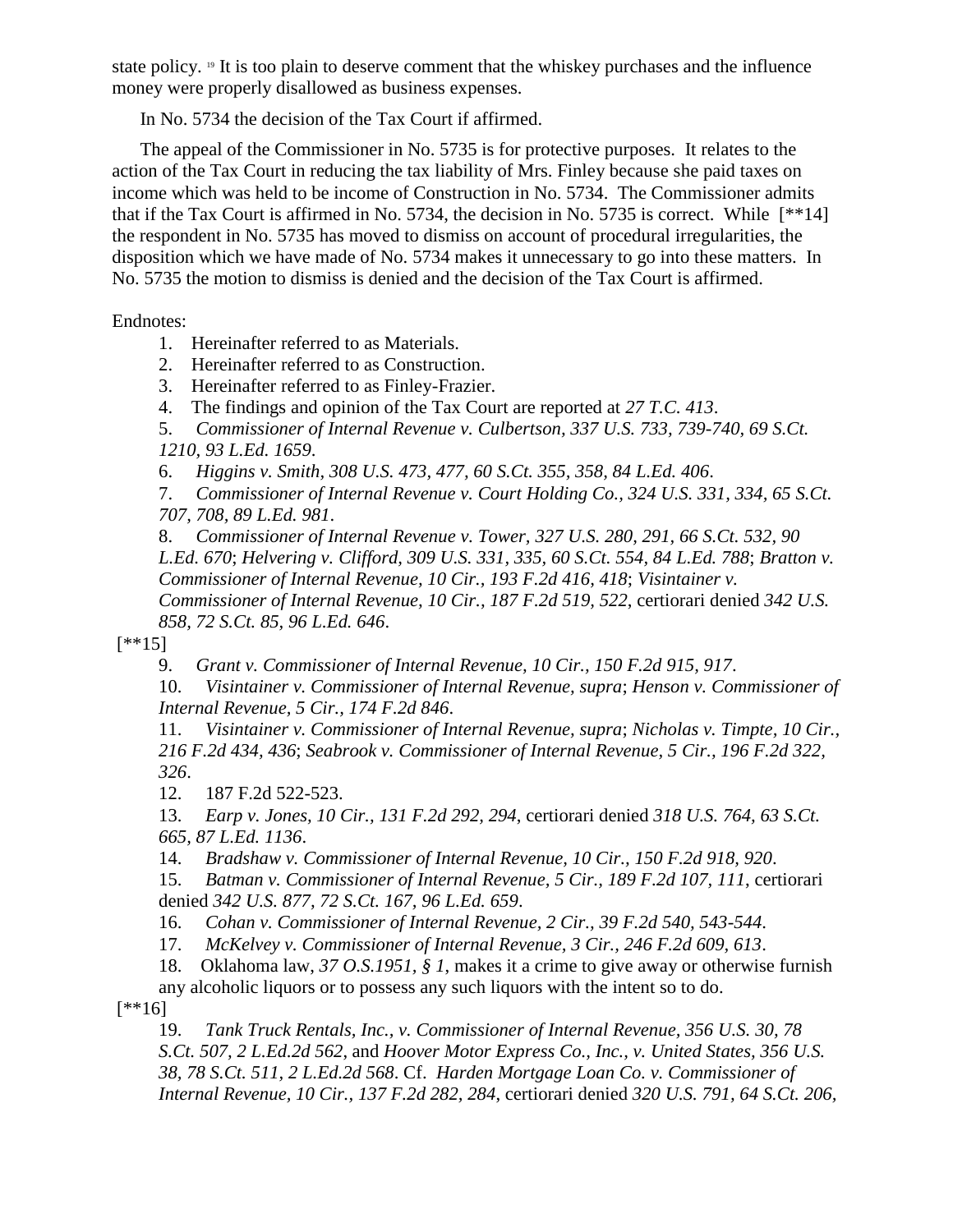state policy. <sup>19</sup> It is too plain to deserve comment that the whiskey purchases and the influence money were properly disallowed as business expenses.

In No. 5734 the decision of the Tax Court if affirmed.

The appeal of the Commissioner in No. 5735 is for protective purposes. It relates to the action of the Tax Court in reducing the tax liability of Mrs. Finley because she paid taxes on income which was held to be income of Construction in No. 5734. The Commissioner admits that if the Tax Court is affirmed in No. 5734, the decision in No. 5735 is correct. While [\*\*14] the respondent in No. 5735 has moved to dismiss on account of procedural irregularities, the disposition which we have made of No. 5734 makes it unnecessary to go into these matters. In No. 5735 the motion to dismiss is denied and the decision of the Tax Court is affirmed.

Endnotes:

- 1. Hereinafter referred to as Materials.
- 2. Hereinafter referred to as Construction.
- 3. Hereinafter referred to as Finley-Frazier.
- 4. The findings and opinion of the Tax Court are reported at *27 T.C. 413*.

5. *Commissioner of Internal Revenue v. Culbertson, 337 U.S. 733, 739-740, 69 S.Ct. 1210, 93 L.Ed. 1659*.

6. *Higgins v. Smith, 308 U.S. 473, 477, 60 S.Ct. 355, 358, 84 L.Ed. 406*.

7. *Commissioner of Internal Revenue v. Court Holding Co., 324 U.S. 331, 334, 65 S.Ct. 707, 708, 89 L.Ed. 981*.

8. *Commissioner of Internal Revenue v. Tower, 327 U.S. 280, 291, 66 S.Ct. 532, 90 L.Ed. 670*; *Helvering v. Clifford, 309 U.S. 331, 335, 60 S.Ct. 554, 84 L.Ed. 788*; *Bratton v. Commissioner of Internal Revenue, 10 Cir., 193 F.2d 416, 418*; *Visintainer v. Commissioner of Internal Revenue, 10 Cir., 187 F.2d 519, 522*, certiorari denied *342 U.S. 858, 72 S.Ct. 85, 96 L.Ed. 646*.

 $[$ \*\*15]

9. *Grant v. Commissioner of Internal Revenue, 10 Cir., 150 F.2d 915, 917*.

10. *Visintainer v. Commissioner of Internal Revenue, supra*; *Henson v. Commissioner of Internal Revenue, 5 Cir., 174 F.2d 846*.

11. *Visintainer v. Commissioner of Internal Revenue, supra*; *Nicholas v. Timpte, 10 Cir., 216 F.2d 434, 436*; *Seabrook v. Commissioner of Internal Revenue, 5 Cir., 196 F.2d 322, 326*.

12. 187 F.2d 522-523.

13. *Earp v. Jones, 10 Cir., 131 F.2d 292, 294*, certiorari denied *318 U.S. 764, 63 S.Ct. 665, 87 L.Ed. 1136*.

14. *Bradshaw v. Commissioner of Internal Revenue, 10 Cir., 150 F.2d 918, 920*.

15. *Batman v. Commissioner of Internal Revenue, 5 Cir., 189 F.2d 107, 111*, certiorari denied *342 U.S. 877, 72 S.Ct. 167, 96 L.Ed. 659*.

16. *Cohan v. Commissioner of Internal Revenue, 2 Cir., 39 F.2d 540, 543-544*.

17. *McKelvey v. Commissioner of Internal Revenue, 3 Cir., 246 F.2d 609, 613*.

18. Oklahoma law, *37 O.S.1951, § 1*, makes it a crime to give away or otherwise furnish any alcoholic liquors or to possess any such liquors with the intent so to do.

 $[$ \*\*16]

19. *Tank Truck Rentals, Inc., v. Commissioner of Internal Revenue, 356 U.S. 30, 78 S.Ct. 507, 2 L.Ed.2d 562*, and *Hoover Motor Express Co., Inc., v. United States, 356 U.S. 38, 78 S.Ct. 511, 2 L.Ed.2d 568*. Cf. *Harden Mortgage Loan Co. v. Commissioner of Internal Revenue, 10 Cir., 137 F.2d 282, 284*, certiorari denied *320 U.S. 791, 64 S.Ct. 206,*